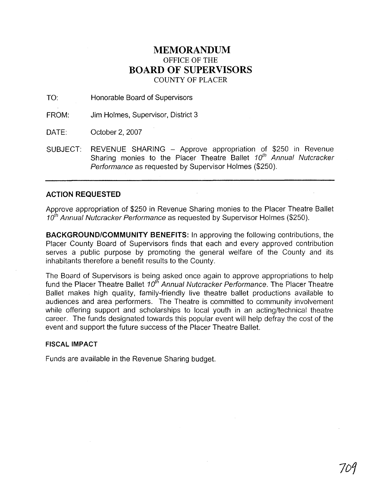## **MEMORANDUM**  OFFICE OF THE **BOARD OF SUPERVISORS**  COUNTY OF PLACER

TO: Honorable Board of Supervisors

FROM: Jim Holmes, Supervisor, District 3

DATE: October 2, 2007

SUBJECT: REVENUE SHARING - Approve appropriation of \$250 in Revenue Sharing monies to the Placer Theatre Ballet 10<sup>th</sup> Annual Nutcracker Performance as requested by Supervisor Holmes (\$250).

## **ACTION REQUESTED**

Approve appropriation of \$250 in Revenue Sharing monies to the Placer Theatre Ballet 10<sup>th</sup> Annual Nutcracker Performance as requested by Supervisor Holmes (\$250).

**BACKGROUNDICOMMUNITY BENEFITS:** In approving the following contributions, the Placer County Board of Supervisors finds that each and every approved contribution serves a public purpose by promoting the general welfare of the County and its inhabitants therefore a benefit results to the County.

The Board of Supervisors is being asked once again to approve appropriations to help fund the Placer Theatre Ballet 10<sup>th</sup> Annual Nutcracker Performance. The Placer Theatre Ballet makes high quality, family-friendly live theatre ballet productions available to audiences and area performers. The Theatre is committed to community involvement while offering support and scholarships to local youth in an acting/technical theatre career. The funds designated towards this popular event will help defray the cost of the event and support the future success of the Placer Theatre Ballet.

## **FISCAL IMPACT**

Funds are available in the Revenue Sharing budget.